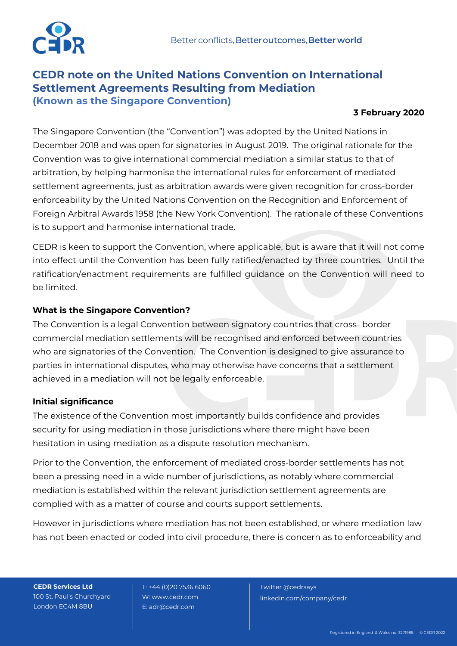

# **CEDR note on the United Nations Convention on International Settlement Agreements Resulting from Mediation (Known as the Singapore Convention)**

### **3 February 2020**

The Singapore Convention (the "Convention") was adopted by the United Nations in December 2018 and was open for signatories in August 2019. The original rationale for the Convention was to give international commercial mediation a similar status to that of arbitration, by helping harmonise the international rules for enforcement of mediated settlement agreements, just as arbitration awards were given recognition for cross-border enforceability by the United Nations Convention on the Recognition and Enforcement of Foreign Arbitral Awards 1958 (the New York Convention). The rationale of these Conventions is to support and harmonise international trade.

CEDR is keen to support the Convention, where applicable, but is aware that it will not come into effect until the Convention has been fully ratified/enacted by three countries. Until the ratification/enactment requirements are fulfilled guidance on the Convention will need to be limited.

## **What is the Singapore Convention?**

The Convention is a legal Convention between signatory countries that cross- border commercial mediation settlements will be recognised and enforced between countries who are signatories of the Convention. The Convention is designed to give assurance to parties in international disputes, who may otherwise have concerns that a settlement achieved in a mediation will not be legally enforceable.

## **Initial significance**

The existence of the Convention most importantly builds confidence and provides security for using mediation in those jurisdictions where there might have been hesitation in using mediation as a dispute resolution mechanism.

Prior to the Convention, the enforcement of mediated cross-border settlements has not been a pressing need in a wide number of jurisdictions, as notably where commercial mediation is established within the relevant jurisdiction settlement agreements are complied with as a matter of course and courts support settlements.

However in jurisdictions where mediation has not been established, or where mediation law has not been enacted or coded into civil procedure, there is concern as to enforceability and

**CEDR Services Ltd** 100 St. Paul's Churchyard London EC4M 8BU

 T: +44 (0)20 7536 6060 W: [www.cedr.com](http://www.cedr.com/)  E[: adr@cedr.com](mailto:adr@cedr.com) 

 Twitter @cedrsays linkedin.com/company/cedr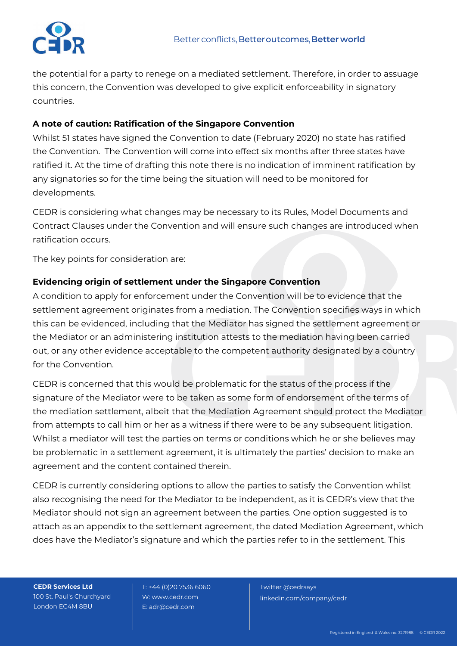

the potential for a party to renege on a mediated settlement. Therefore, in order to assuage this concern, the Convention was developed to give explicit enforceability in signatory countries.

## **A note of caution: Ratification of the Singapore Convention**

Whilst 51 states have signed the Convention to date (February 2020) no state has ratified the Convention. The Convention will come into effect six months after three states have ratified it. At the time of drafting this note there is no indication of imminent ratification by any signatories so for the time being the situation will need to be monitored for developments.

CEDR is considering what changes may be necessary to its Rules, Model Documents and Contract Clauses under the Convention and will ensure such changes are introduced when ratification occurs.

The key points for consideration are:

## **Evidencing origin of settlement under the Singapore Convention**

A condition to apply for enforcement under the Convention will be to evidence that the settlement agreement originates from a mediation. The Convention specifies ways in which this can be evidenced, including that the Mediator has signed the settlement agreement or the Mediator or an administering institution attests to the mediation having been carried out, or any other evidence acceptable to the competent authority designated by a country for the Convention.

CEDR is concerned that this would be problematic for the status of the process if the signature of the Mediator were to be taken as some form of endorsement of the terms of the mediation settlement, albeit that the Mediation Agreement should protect the Mediator from attempts to call him or her as a witness if there were to be any subsequent litigation. Whilst a mediator will test the parties on terms or conditions which he or she believes may be problematic in a settlement agreement, it is ultimately the parties' decision to make an agreement and the content contained therein.

CEDR is currently considering options to allow the parties to satisfy the Convention whilst also recognising the need for the Mediator to be independent, as it is CEDR's view that the Mediator should not sign an agreement between the parties. One option suggested is to attach as an appendix to the settlement agreement, the dated Mediation Agreement, which does have the Mediator's signature and which the parties refer to in the settlement. This

**CEDR Services Ltd** 100 St. Paul's Churchyard London EC4M 8BU

 T: +44 (0)20 7536 6060 W: [www.cedr.com](http://www.cedr.com/)  E[: adr@cedr.com](mailto:adr@cedr.com) 

 Twitter @cedrsays linkedin.com/company/cedr